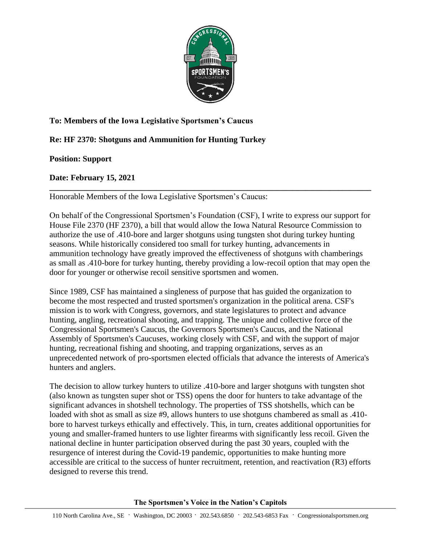

## **To: Members of the Iowa Legislative Sportsmen's Caucus**

## **Re: HF 2370: Shotguns and Ammunition for Hunting Turkey**

## **Position: Support**

## **Date: February 15, 2021**

**\_\_\_\_\_\_\_\_\_\_\_\_\_\_\_\_\_\_\_\_\_\_\_\_\_\_\_\_\_\_\_\_\_\_\_\_\_\_\_\_\_\_\_\_\_\_\_\_\_\_\_\_\_\_\_\_\_\_\_\_\_\_\_\_\_\_\_\_\_\_\_\_\_\_\_\_\_\_** Honorable Members of the Iowa Legislative Sportsmen's Caucus:

On behalf of the Congressional Sportsmen's Foundation (CSF), I write to express our support for House File 2370 (HF 2370), a bill that would allow the Iowa Natural Resource Commission to authorize the use of .410-bore and larger shotguns using tungsten shot during turkey hunting seasons. While historically considered too small for turkey hunting, advancements in ammunition technology have greatly improved the effectiveness of shotguns with chamberings as small as .410-bore for turkey hunting, thereby providing a low-recoil option that may open the door for younger or otherwise recoil sensitive sportsmen and women.

Since 1989, CSF has maintained a singleness of purpose that has guided the organization to become the most respected and trusted sportsmen's organization in the political arena. CSF's mission is to work with Congress, governors, and state legislatures to protect and advance hunting, angling, recreational shooting, and trapping. The unique and collective force of the Congressional Sportsmen's Caucus, the Governors Sportsmen's Caucus, and the National Assembly of Sportsmen's Caucuses, working closely with CSF, and with the support of major hunting, recreational fishing and shooting, and trapping organizations, serves as an unprecedented network of pro-sportsmen elected officials that advance the interests of America's hunters and anglers.

The decision to allow turkey hunters to utilize .410-bore and larger shotguns with tungsten shot (also known as tungsten super shot or TSS) opens the door for hunters to take advantage of the significant advances in shotshell technology. The properties of TSS shotshells, which can be loaded with shot as small as size #9, allows hunters to use shotguns chambered as small as .410 bore to harvest turkeys ethically and effectively. This, in turn, creates additional opportunities for young and smaller-framed hunters to use lighter firearms with significantly less recoil. Given the national decline in hunter participation observed during the past 30 years, coupled with the resurgence of interest during the Covid-19 pandemic, opportunities to make hunting more accessible are critical to the success of hunter recruitment, retention, and reactivation (R3) efforts designed to reverse this trend.

**The Sportsmen's Voice in the Nation's Capitols**